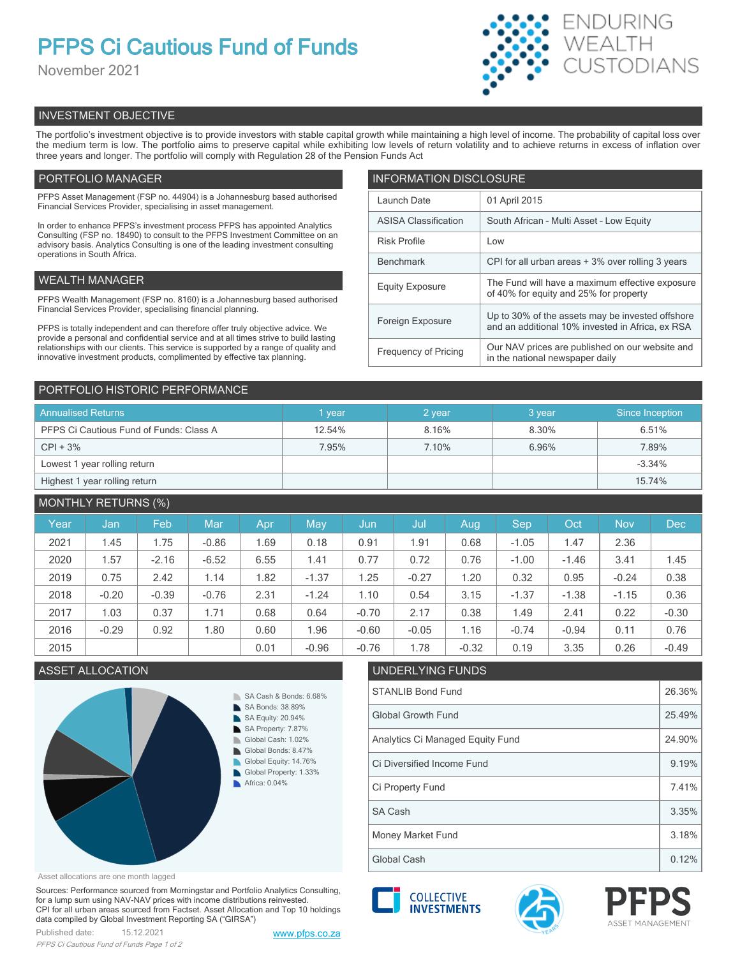# **PFPS Ci Cautious Fund of Funds**

November 2021



# INVESTMENT OBJECTIVE

The portfolio's investment objective is to provide investors with stable capital growth while maintaining a high level of income. The probability of capital loss over the medium term is low. The portfolio aims to preserve capital while exhibiting low levels of return volatility and to achieve returns in excess of inflation over three years and longer. The portfolio will comply with Regulation 28 of the Pension Funds Act

# PORTFOLIO MANAGER

PFPS Asset Management (FSP no. 44904) is a Johannesburg based authorised Financial Services Provider, specialising in asset management.

In order to enhance PFPS's investment process PFPS has appointed Analytics Consulting (FSP no. 18490) to consult to the PFPS Investment Committee on an advisory basis. Analytics Consulting is one of the leading investment consulting operations in South Africa.

# WEALTH MANAGER

PFPS Wealth Management (FSP no. 8160) is a Johannesburg based authorised Financial Services Provider, specialising financial planning.

PFPS is totally independent and can therefore offer truly objective advice. We provide a personal and confidential service and at all times strive to build lasting relationships with our clients. This service is supported by a range of quality and innovative investment products, complimented by effective tax planning.

| <b>INFORMATION DISCLOSURE</b> |                                                                                                      |  |  |  |  |  |
|-------------------------------|------------------------------------------------------------------------------------------------------|--|--|--|--|--|
| Launch Date                   | 01 April 2015                                                                                        |  |  |  |  |  |
| <b>ASISA Classification</b>   | South African - Multi Asset - Low Equity                                                             |  |  |  |  |  |
| <b>Risk Profile</b>           | Low                                                                                                  |  |  |  |  |  |
| <b>Benchmark</b>              | CPI for all urban areas + 3% over rolling 3 years                                                    |  |  |  |  |  |
| <b>Equity Exposure</b>        | The Fund will have a maximum effective exposure<br>of 40% for equity and 25% for property            |  |  |  |  |  |
| Foreign Exposure              | Up to 30% of the assets may be invested offshore<br>and an additional 10% invested in Africa, ex RSA |  |  |  |  |  |
| <b>Frequency of Pricing</b>   | Our NAV prices are published on our website and<br>in the national newspaper daily                   |  |  |  |  |  |

# PORTFOLIO HISTORIC PERFORMANCE

| <b>Annualised Returns</b>               | vear   | 2 year | 3 year | Since Inception |  |
|-----------------------------------------|--------|--------|--------|-----------------|--|
| PFPS Ci Cautious Fund of Funds: Class A | 12.54% | 8.16%  | 8.30%  | 6.51%           |  |
| $CPI + 3%$                              | 7.95%  | 7.10%  | 6.96%  | 7.89%           |  |
| Lowest 1 year rolling return            |        |        |        | $-3.34%$        |  |
| Highest 1 year rolling return           |        |        |        | 15.74%          |  |

# MONTHLY RETURNS (%)

| Year | Jan     | Feb     | Mar     | Apr  | Mav     | Jun     | Jul     | Aug     | Sep     | Oct     | <b>Nov</b> | <b>Dec</b> |
|------|---------|---------|---------|------|---------|---------|---------|---------|---------|---------|------------|------------|
| 2021 | 1.45    | 1.75    | $-0.86$ | 1.69 | 0.18    | 0.91    | 1.91    | 0.68    | $-1.05$ | 1.47    | 2.36       |            |
| 2020 | 1.57    | $-2.16$ | $-6.52$ | 6.55 | 1.41    | 0.77    | 0.72    | 0.76    | $-1.00$ | $-1.46$ | 3.41       | 1.45       |
| 2019 | 0.75    | 2.42    | 1.14    | 1.82 | $-1.37$ | 1.25    | $-0.27$ | 1.20    | 0.32    | 0.95    | $-0.24$    | 0.38       |
| 2018 | $-0.20$ | $-0.39$ | $-0.76$ | 2.31 | $-1.24$ | 1.10    | 0.54    | 3.15    | $-1.37$ | $-1.38$ | $-1.15$    | 0.36       |
| 2017 | 1.03    | 0.37    | 1.71    | 0.68 | 0.64    | $-0.70$ | 2.17    | 0.38    | 1.49    | 2.41    | 0.22       | $-0.30$    |
| 2016 | $-0.29$ | 0.92    | 1.80    | 0.60 | 1.96    | $-0.60$ | $-0.05$ | 1.16    | $-0.74$ | $-0.94$ | 0.11       | 0.76       |
| 2015 |         |         |         | 0.01 | $-0.96$ | $-0.76$ | 1.78    | $-0.32$ | 0.19    | 3.35    | 0.26       | $-0.49$    |

# ASSET ALLOCATION UNDERLYING FUNDS



### Asset allocations are one month lagged

Sources: Performance sourced from Morningstar and Portfolio Analytics Consulting, for a lump sum using NAV-NAV prices with income distributions reinvested. CPI for all urban areas sourced from Factset. Asset Allocation and Top 10 holdings data compiled by Global Investment Reporting SA ("GIRSA")



# Global Growth Fund 25.49% Analytics Ci Managed Equity Fund 24.90% Ci Property Fund 2.41% Ci Diversified Income Fund 9.19% Global Cash **1.12%** Clobal Cash **1.12%** Money Market Fund 3.18% SA Cash 3.35%